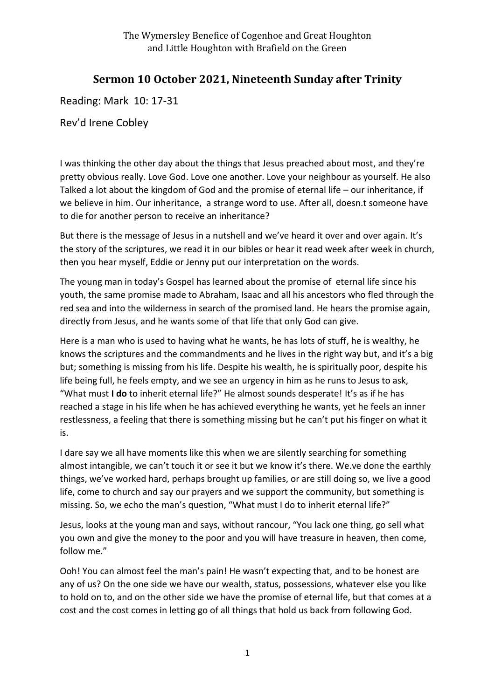## **Sermon 10 October 2021, Nineteenth Sunday after Trinity**

Reading: Mark 10: 17-31

Rev'd Irene Cobley

I was thinking the other day about the things that Jesus preached about most, and they're pretty obvious really. Love God. Love one another. Love your neighbour as yourself. He also Talked a lot about the kingdom of God and the promise of eternal life – our inheritance, if we believe in him. Our inheritance, a strange word to use. After all, doesn.t someone have to die for another person to receive an inheritance?

But there is the message of Jesus in a nutshell and we've heard it over and over again. It's the story of the scriptures, we read it in our bibles or hear it read week after week in church, then you hear myself, Eddie or Jenny put our interpretation on the words.

The young man in today's Gospel has learned about the promise of eternal life since his youth, the same promise made to Abraham, Isaac and all his ancestors who fled through the red sea and into the wilderness in search of the promised land. He hears the promise again, directly from Jesus, and he wants some of that life that only God can give.

Here is a man who is used to having what he wants, he has lots of stuff, he is wealthy, he knows the scriptures and the commandments and he lives in the right way but, and it's a big but; something is missing from his life. Despite his wealth, he is spiritually poor, despite his life being full, he feels empty, and we see an urgency in him as he runs to Jesus to ask, "What must **I do** to inherit eternal life?" He almost sounds desperate! It's as if he has reached a stage in his life when he has achieved everything he wants, yet he feels an inner restlessness, a feeling that there is something missing but he can't put his finger on what it is.

I dare say we all have moments like this when we are silently searching for something almost intangible, we can't touch it or see it but we know it's there. We.ve done the earthly things, we've worked hard, perhaps brought up families, or are still doing so, we live a good life, come to church and say our prayers and we support the community, but something is missing. So, we echo the man's question, "What must I do to inherit eternal life?"

Jesus, looks at the young man and says, without rancour, "You lack one thing, go sell what you own and give the money to the poor and you will have treasure in heaven, then come, follow me."

Ooh! You can almost feel the man's pain! He wasn't expecting that, and to be honest are any of us? On the one side we have our wealth, status, possessions, whatever else you like to hold on to, and on the other side we have the promise of eternal life, but that comes at a cost and the cost comes in letting go of all things that hold us back from following God.